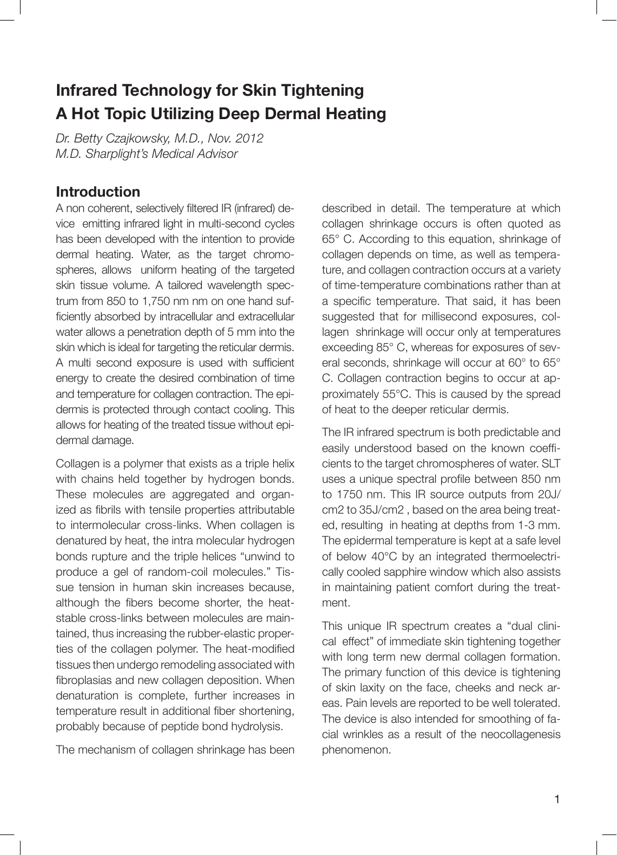## **Infrared Technology for Skin Tightening A Hot Topic Utilizing Deep Dermal Heating**

*Dr. Betty Czajkowsky, M.D., Nov. 2012 M.D. Sharplight's Medical Advisor*

## **Introduction**

A non coherent, selectively filtered IR (infrared) device emitting infrared light in multi-second cycles has been developed with the intention to provide dermal heating. Water, as the target chromospheres, allows uniform heating of the targeted skin tissue volume. A tailored wavelength spectrum from 850 to 1,750 nm nm on one hand sufficiently absorbed by intracellular and extracellular water allows a penetration depth of 5 mm into the skin which is ideal for targeting the reticular dermis. A multi second exposure is used with sufficient energy to create the desired combination of time and temperature for collagen contraction. The epidermis is protected through contact cooling. This allows for heating of the treated tissue without epidermal damage.

Collagen is a polymer that exists as a triple helix with chains held together by hydrogen bonds. These molecules are aggregated and organized as fibrils with tensile properties attributable to intermolecular cross-links. When collagen is denatured by heat, the intra molecular hydrogen bonds rupture and the triple helices "unwind to produce a gel of random-coil molecules." Tissue tension in human skin increases because, although the fibers become shorter, the heatstable cross-links between molecules are maintained, thus increasing the rubber-elastic properties of the collagen polymer. The heat-modified tissues then undergo remodeling associated with fibroplasias and new collagen deposition. When denaturation is complete, further increases in temperature result in additional fiber shortening, probably because of peptide bond hydrolysis.

The mechanism of collagen shrinkage has been

described in detail. The temperature at which collagen shrinkage occurs is often quoted as 65° C. According to this equation, shrinkage of collagen depends on time, as well as temperature, and collagen contraction occurs at a variety of time-temperature combinations rather than at a specific temperature. That said, it has been suggested that for millisecond exposures, collagen shrinkage will occur only at temperatures exceeding 85° C, whereas for exposures of several seconds, shrinkage will occur at 60° to 65° C. Collagen contraction begins to occur at approximately 55°C. This is caused by the spread of heat to the deeper reticular dermis.

The IR infrared spectrum is both predictable and easily understood based on the known coefficients to the target chromospheres of water. SLT uses a unique spectral profile between 850 nm to 1750 nm. This IR source outputs from 20J/ cm2 to 35J/cm2 , based on the area being treated, resulting in heating at depths from 1-3 mm. The epidermal temperature is kept at a safe level of below 40°C by an integrated thermoelectrically cooled sapphire window which also assists in maintaining patient comfort during the treatment.

This unique IR spectrum creates a "dual clinical effect" of immediate skin tightening together with long term new dermal collagen formation. The primary function of this device is tightening of skin laxity on the face, cheeks and neck areas. Pain levels are reported to be well tolerated. The device is also intended for smoothing of facial wrinkles as a result of the neocollagenesis phenomenon.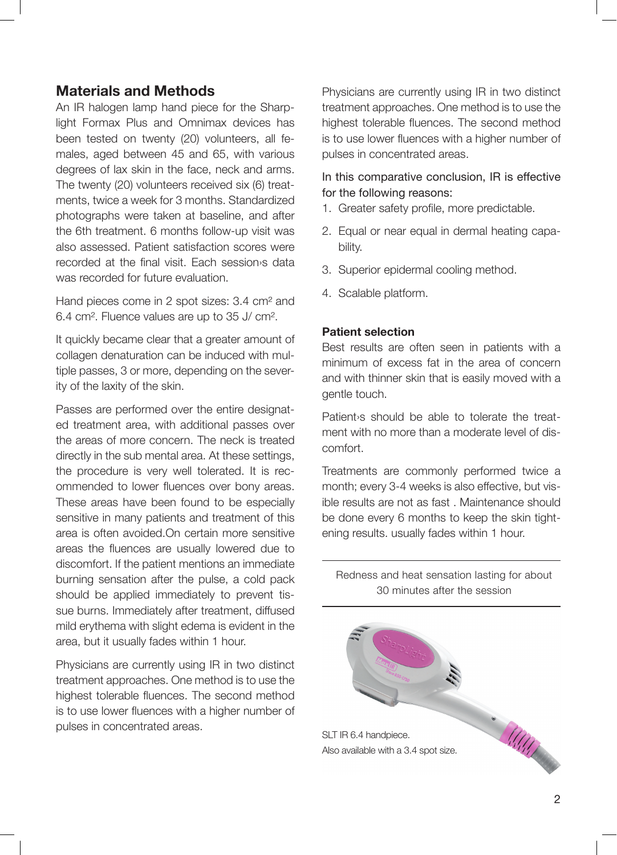## **Materials and Methods**

An IR halogen lamp hand piece for the Sharplight Formax Plus and Omnimax devices has been tested on twenty (20) volunteers, all females, aged between 45 and 65, with various degrees of lax skin in the face, neck and arms. The twenty (20) volunteers received six (6) treatments, twice a week for 3 months. Standardized photographs were taken at baseline, and after the 6th treatment. 6 months follow-up visit was also assessed. Patient satisfaction scores were recorded at the final visit. Each session›s data was recorded for future evaluation.

Hand pieces come in 2 spot sizes: 3.4 cm² and 6.4 cm². Fluence values are up to 35 J/ cm².

It quickly became clear that a greater amount of collagen denaturation can be induced with multiple passes, 3 or more, depending on the severity of the laxity of the skin.

Passes are performed over the entire designated treatment area, with additional passes over the areas of more concern. The neck is treated directly in the sub mental area. At these settings, the procedure is very well tolerated. It is recommended to lower fluences over bony areas. These areas have been found to be especially sensitive in many patients and treatment of this area is often avoided.On certain more sensitive areas the fluences are usually lowered due to discomfort. If the patient mentions an immediate burning sensation after the pulse, a cold pack should be applied immediately to prevent tissue burns. Immediately after treatment, diffused mild erythema with slight edema is evident in the area, but it usually fades within 1 hour.

Physicians are currently using IR in two distinct treatment approaches. One method is to use the highest tolerable fluences. The second method is to use lower fluences with a higher number of pulses in concentrated areas.

Physicians are currently using IR in two distinct treatment approaches. One method is to use the highest tolerable fluences. The second method is to use lower fluences with a higher number of pulses in concentrated areas.

#### In this comparative conclusion, IR is effective for the following reasons:

- 1. Greater safety profile, more predictable.
- 2. Equal or near equal in dermal heating capability.
- 3. Superior epidermal cooling method.
- 4. Scalable platform.

#### **Patient selection**

Best results are often seen in patients with a minimum of excess fat in the area of concern and with thinner skin that is easily moved with a gentle touch.

Patient›s should be able to tolerate the treatment with no more than a moderate level of discomfort.

Treatments are commonly performed twice a month; every 3-4 weeks is also effective, but visible results are not as fast . Maintenance should be done every 6 months to keep the skin tightening results. usually fades within 1 hour.

Redness and heat sensation lasting for about 30 minutes after the session

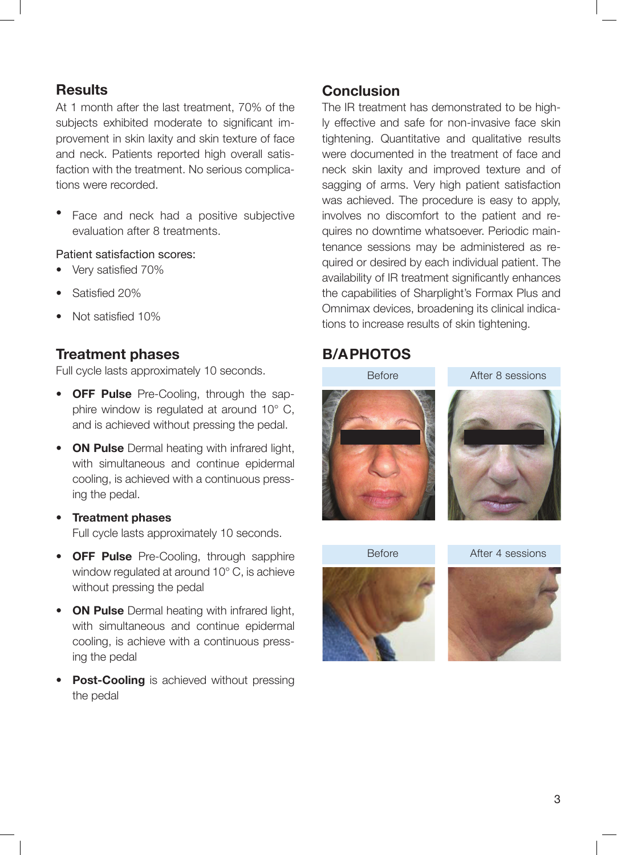## **Results**

At 1 month after the last treatment, 70% of the subjects exhibited moderate to significant improvement in skin laxity and skin texture of face and neck. Patients reported high overall satisfaction with the treatment. No serious complications were recorded.

• Face and neck had a positive subjective evaluation after 8 treatments.

#### Patient satisfaction scores:

- Very satisfied 70%
- Satisfied 20%
- Not satisfied 10%

### **Treatment phases**

Full cycle lasts approximately 10 seconds.

- **• OFF Pulse** Pre-Cooling, through the sapphire window is regulated at around 10° C, and is achieved without pressing the pedal.
- **• ON Pulse** Dermal heating with infrared light, with simultaneous and continue epidermal cooling, is achieved with a continuous pressing the pedal.
- **• Treatment phases**  Full cycle lasts approximately 10 seconds.
- **• OFF Pulse** Pre-Cooling, through sapphire window regulated at around 10° C, is achieve without pressing the pedal
- **• ON Pulse** Dermal heating with infrared light, with simultaneous and continue epidermal cooling, is achieve with a continuous pressing the pedal
- **• Post-Cooling** is achieved without pressing the pedal

## **Conclusion**

The IR treatment has demonstrated to be highly effective and safe for non-invasive face skin tightening. Quantitative and qualitative results were documented in the treatment of face and neck skin laxity and improved texture and of sagging of arms. Very high patient satisfaction was achieved. The procedure is easy to apply, involves no discomfort to the patient and requires no downtime whatsoever. Periodic maintenance sessions may be administered as required or desired by each individual patient. The availability of IR treatment significantly enhances the capabilities of Sharplight's Formax Plus and Omnimax devices, broadening its clinical indications to increase results of skin tightening.

## **B/A PHOTOS**





After 4 sessions

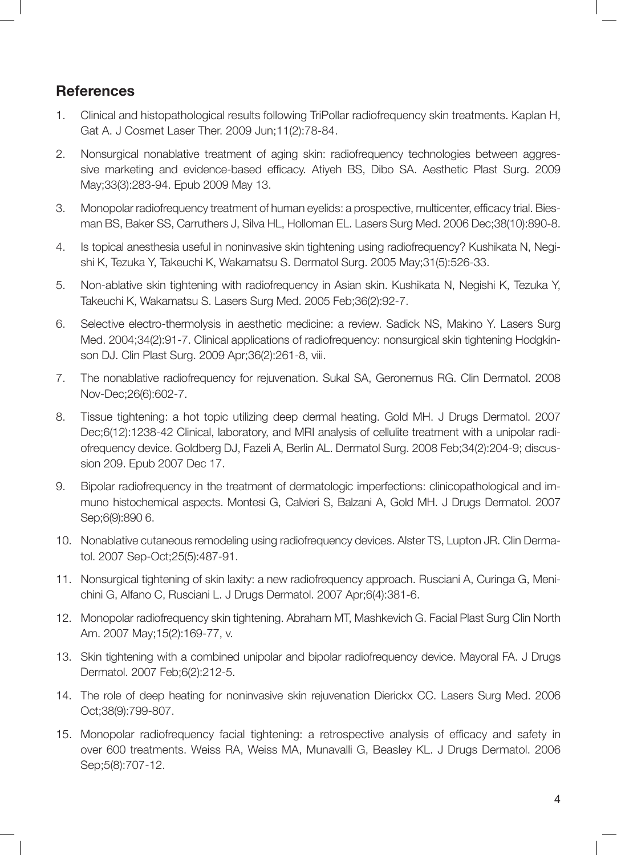## **References**

- 1. Clinical and histopathological results following TriPollar radiofrequency skin treatments. Kaplan H, Gat A. J Cosmet Laser Ther. 2009 Jun;11(2):78-84.
- 2. Nonsurgical nonablative treatment of aging skin: radiofrequency technologies between aggressive marketing and evidence-based efficacy. Atiyeh BS, Dibo SA. Aesthetic Plast Surg. 2009 May;33(3):283-94. Epub 2009 May 13.
- 3. Monopolar radiofrequency treatment of human eyelids: a prospective, multicenter, efficacy trial. Biesman BS, Baker SS, Carruthers J, Silva HL, Holloman EL. Lasers Surg Med. 2006 Dec;38(10):890-8.
- 4. Is topical anesthesia useful in noninvasive skin tightening using radiofrequency? Kushikata N, Negishi K, Tezuka Y, Takeuchi K, Wakamatsu S. Dermatol Surg. 2005 May;31(5):526-33.
- 5. Non-ablative skin tightening with radiofrequency in Asian skin. Kushikata N, Negishi K, Tezuka Y, Takeuchi K, Wakamatsu S. Lasers Surg Med. 2005 Feb;36(2):92-7.
- 6. Selective electro-thermolysis in aesthetic medicine: a review. Sadick NS, Makino Y. Lasers Surg Med. 2004;34(2):91-7. Clinical applications of radiofrequency: nonsurgical skin tightening Hodgkinson DJ. Clin Plast Surg. 2009 Apr;36(2):261-8, viii.
- 7. The nonablative radiofrequency for rejuvenation. Sukal SA, Geronemus RG. Clin Dermatol. 2008 Nov-Dec;26(6):602-7.
- 8. Tissue tightening: a hot topic utilizing deep dermal heating. Gold MH. J Drugs Dermatol. 2007 Dec;6(12):1238-42 Clinical, laboratory, and MRI analysis of cellulite treatment with a unipolar radiofrequency device. Goldberg DJ, Fazeli A, Berlin AL. Dermatol Surg. 2008 Feb;34(2):204-9; discussion 209. Epub 2007 Dec 17.
- 9. Bipolar radiofrequency in the treatment of dermatologic imperfections: clinicopathological and immuno histochemical aspects. Montesi G, Calvieri S, Balzani A, Gold MH. J Drugs Dermatol. 2007 Sep;6(9):890 6.
- 10. Nonablative cutaneous remodeling using radiofrequency devices. Alster TS, Lupton JR. Clin Dermatol. 2007 Sep-Oct;25(5):487-91.
- 11. Nonsurgical tightening of skin laxity: a new radiofrequency approach. Rusciani A, Curinga G, Menichini G, Alfano C, Rusciani L. J Drugs Dermatol. 2007 Apr;6(4):381-6.
- 12. Monopolar radiofrequency skin tightening. Abraham MT, Mashkevich G. Facial Plast Surg Clin North Am. 2007 May;15(2):169-77, v.
- 13. Skin tightening with a combined unipolar and bipolar radiofrequency device. Mayoral FA. J Drugs Dermatol. 2007 Feb;6(2):212-5.
- 14. The role of deep heating for noninvasive skin rejuvenation Dierickx CC. Lasers Surg Med. 2006 Oct;38(9):799-807.
- 15. Monopolar radiofrequency facial tightening: a retrospective analysis of efficacy and safety in over 600 treatments. Weiss RA, Weiss MA, Munavalli G, Beasley KL. J Drugs Dermatol. 2006 Sep;5(8):707-12.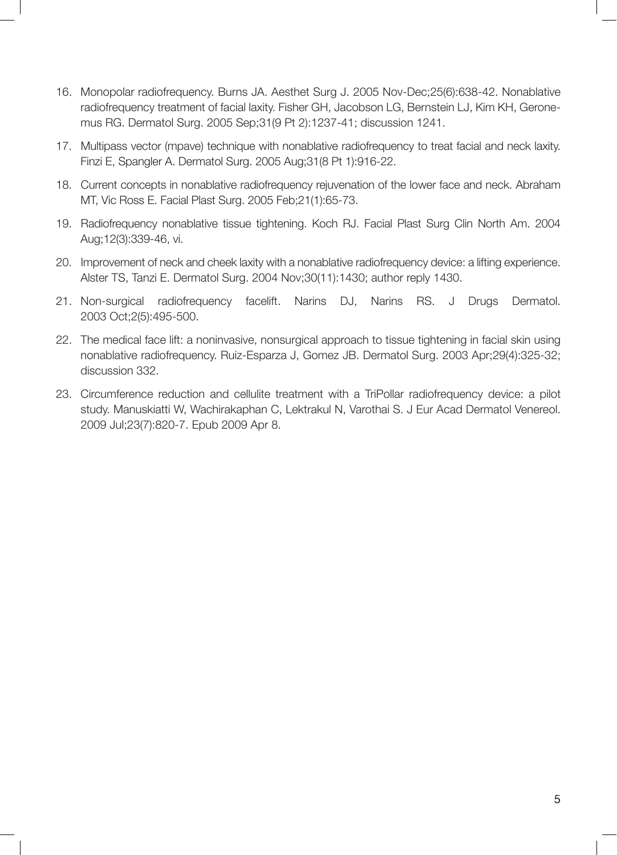- 16. Monopolar radiofrequency. Burns JA. Aesthet Surg J. 2005 Nov-Dec;25(6):638-42. Nonablative radiofrequency treatment of facial laxity. Fisher GH, Jacobson LG, Bernstein LJ, Kim KH, Geronemus RG. Dermatol Surg. 2005 Sep;31(9 Pt 2):1237-41; discussion 1241.
- 17. Multipass vector (mpave) technique with nonablative radiofrequency to treat facial and neck laxity. Finzi E, Spangler A. Dermatol Surg. 2005 Aug;31(8 Pt 1):916-22.
- 18. Current concepts in nonablative radiofrequency rejuvenation of the lower face and neck. Abraham MT, Vic Ross E. Facial Plast Surg. 2005 Feb;21(1):65-73.
- 19. Radiofrequency nonablative tissue tightening. Koch RJ. Facial Plast Surg Clin North Am. 2004 Aug;12(3):339-46, vi.
- 20. Improvement of neck and cheek laxity with a nonablative radiofrequency device: a lifting experience. Alster TS, Tanzi E. Dermatol Surg. 2004 Nov;30(11):1430; author reply 1430.
- 21. Non-surgical radiofrequency facelift. Narins DJ, Narins RS. J Drugs Dermatol. 2003 Oct;2(5):495-500.
- 22. The medical face lift: a noninvasive, nonsurgical approach to tissue tightening in facial skin using nonablative radiofrequency. Ruiz-Esparza J, Gomez JB. Dermatol Surg. 2003 Apr;29(4):325-32; discussion 332.
- 23. Circumference reduction and cellulite treatment with a TriPollar radiofrequency device: a pilot study. Manuskiatti W, Wachirakaphan C, Lektrakul N, Varothai S. J Eur Acad Dermatol Venereol. 2009 Jul;23(7):820-7. Epub 2009 Apr 8.